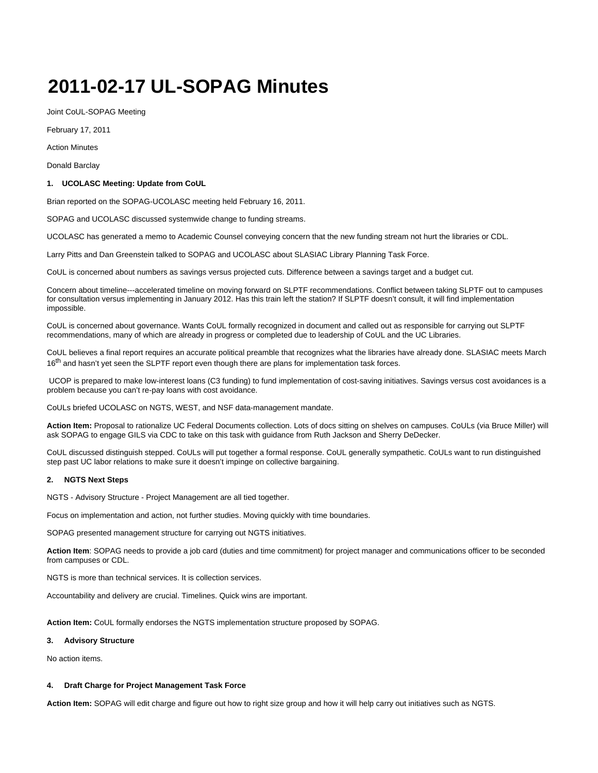# **2011-02-17 UL-SOPAG Minutes**

Joint CoUL-SOPAG Meeting

February 17, 2011

Action Minutes

Donald Barclay

## **1. UCOLASC Meeting: Update from CoUL**

Brian reported on the SOPAG-UCOLASC meeting held February 16, 2011.

SOPAG and UCOLASC discussed systemwide change to funding streams.

UCOLASC has generated a memo to Academic Counsel conveying concern that the new funding stream not hurt the libraries or CDL.

Larry Pitts and Dan Greenstein talked to SOPAG and UCOLASC about SLASIAC Library Planning Task Force.

CoUL is concerned about numbers as savings versus projected cuts. Difference between a savings target and a budget cut.

Concern about timeline---accelerated timeline on moving forward on SLPTF recommendations. Conflict between taking SLPTF out to campuses for consultation versus implementing in January 2012. Has this train left the station? If SLPTF doesn't consult, it will find implementation impossible.

CoUL is concerned about governance. Wants CoUL formally recognized in document and called out as responsible for carrying out SLPTF recommendations, many of which are already in progress or completed due to leadership of CoUL and the UC Libraries.

CoUL believes a final report requires an accurate political preamble that recognizes what the libraries have already done. SLASIAC meets March 16<sup>th</sup> and hasn't yet seen the SLPTF report even though there are plans for implementation task forces.

 UCOP is prepared to make low-interest loans (C3 funding) to fund implementation of cost-saving initiatives. Savings versus cost avoidances is a problem because you can't re-pay loans with cost avoidance.

CoULs briefed UCOLASC on NGTS, WEST, and NSF data-management mandate.

**Action Item:** Proposal to rationalize UC Federal Documents collection. Lots of docs sitting on shelves on campuses. CoULs (via Bruce Miller) will ask SOPAG to engage GILS via CDC to take on this task with guidance from Ruth Jackson and Sherry DeDecker.

CoUL discussed distinguish stepped. CoULs will put together a formal response. CoUL generally sympathetic. CoULs want to run distinguished step past UC labor relations to make sure it doesn't impinge on collective bargaining.

## **2. NGTS Next Steps**

NGTS - Advisory Structure - Project Management are all tied together.

Focus on implementation and action, not further studies. Moving quickly with time boundaries.

SOPAG presented management structure for carrying out NGTS initiatives.

**Action Item**: SOPAG needs to provide a job card (duties and time commitment) for project manager and communications officer to be seconded from campuses or CDL.

NGTS is more than technical services. It is collection services.

Accountability and delivery are crucial. Timelines. Quick wins are important.

**Action Item:** CoUL formally endorses the NGTS implementation structure proposed by SOPAG.

#### **3. Advisory Structure**

No action items.

#### **4. Draft Charge for Project Management Task Force**

**Action Item:** SOPAG will edit charge and figure out how to right size group and how it will help carry out initiatives such as NGTS.